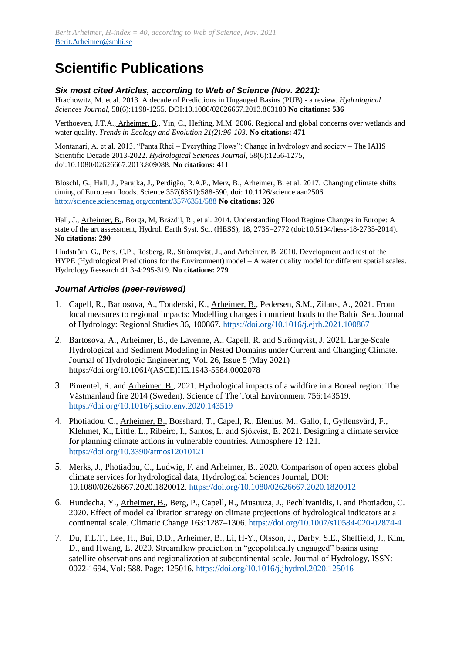# **Scientific Publications**

#### *Six most cited Articles, according to Web of Science (Nov. 2021):*

Hrachowitz, M. et al. 2013. A decade of Predictions in Ungauged Basins (PUB) - a review. *Hydrological Sciences Journal*, 58(6):1198-1255, DOI:10.1080/02626667.2013.803183 **No citations: 536**

Verthoeven, J.T.A., Arheimer, B., Yin, C., Hefting, M.M. 2006. Regional and global concerns over wetlands and water quality. *Trends in Ecology and Evolution 21(2):96-103*. **No citations: 471**

Montanari, A. et al. 2013. "Panta Rhei – Everything Flows": Change in hydrology and society – The IAHS Scientific Decade 2013-2022. *Hydrological Sciences Journal*, 58(6):1256-1275, doi:10.1080/02626667.2013.809088. **No citations: 411**

Blöschl, G., Hall, J., Parajka, J., Perdigão, R.A.P., Merz, B., Arheimer, B. et al. 2017. Changing climate shifts timing of European floods. Science 357(6351):588-590, doi: 10.1126/science.aan2506. <http://science.sciencemag.org/content/357/6351/588> **No citations: 326**

Hall, J., Arheimer, B., Borga, M, Brázdil, R., et al. 2014. Understanding Flood Regime Changes in Europe: A state of the art assessment, Hydrol. Earth Syst. Sci. (HESS), 18, 2735–2772 (doi:10.5194/hess-18-2735-2014). **No citations: 290**

Lindström, G., Pers, C.P., Rosberg, R., Strömqvist, J., and Arheimer, B. 2010. Development and test of the HYPE (Hydrological Predictions for the Environment) model – A water quality model for different spatial scales. Hydrology Research 41.3-4:295-319. **No citations: 279**

## *Journal Articles (peer-reviewed)*

- 1. Capell, R., Bartosova, A., Tonderski, K., Arheimer, B., Pedersen, S.M., Zilans, A., 2021. From local measures to regional impacts: Modelling changes in nutrient loads to the Baltic Sea. Journal of Hydrology: Regional Studies 36, 100867.<https://doi.org/10.1016/j.ejrh.2021.100867>
- 2. Bartosova, A., Arheimer, B., de Lavenne, A., Capell, R. and Strömqvist, J. 2021. Large-Scale Hydrological and Sediment Modeling in Nested Domains under Current and Changing Climate. Journal of Hydrologic Engineering, Vol. 26, Issue 5 (May 2021) [https://doi.org/10.1061/\(ASCE\)HE.1943-5584.0002078](https://doi.org/10.1061/(ASCE)HE.1943-5584.0002078)
- 3. Pimentel, R. and Arheimer, B., 2021. Hydrological impacts of a wildfire in a Boreal region: The Västmanland fire 2014 (Sweden). Science of The Total Environment 756:143519. <https://doi.org/10.1016/j.scitotenv.2020.143519>
- 4. Photiadou, C., Arheimer, B., Bosshard, T., Capell, R., Elenius, M., Gallo, I., Gyllensvärd, F., Klehmet, K., Little, L., Ribeiro, I., Santos, L. and Sjökvist, E. 2021. Designing a climate service for planning climate actions in vulnerable countries. Atmosphere 12:121. <https://doi.org/10.3390/atmos12010121>
- 5. Merks, J., Photiadou, C., Ludwig, F. and Arheimer, B., 2020. Comparison of open access global climate services for hydrological data, Hydrological Sciences Journal, DOI: 10.1080/02626667.2020.1820012.<https://doi.org/10.1080/02626667.2020.1820012>
- 6. Hundecha, Y., Arheimer, B., Berg, P., Capell, R., Musuuza, J., Pechlivanidis, I. and Photiadou, C. 2020. Effect of model calibration strategy on climate projections of hydrological indicators at a continental scale. Climatic Change 163:1287–1306[. https://doi.org/10.1007/s10584-020-02874-4](https://doi.org/10.1007/s10584-020-02874-4)
- 7. Du, T.L.T., Lee, H., Bui, D.D., Arheimer, B., Li, H-Y., Olsson, J., Darby, S.E., Sheffield, J., Kim, D., and Hwang, E. 2020. Streamflow prediction in "geopolitically ungauged" basins using satellite observations and regionalization at subcontinental scale. Journal of Hydrology, ISSN: 0022-1694, Vol: 588, Page: 125016.<https://doi.org/10.1016/j.jhydrol.2020.125016>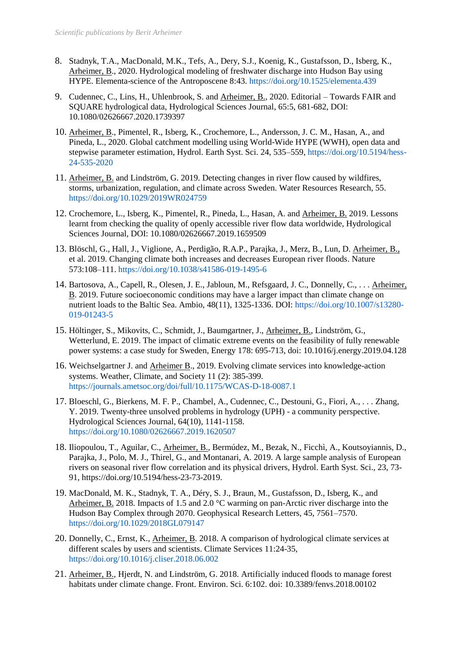- 8. Stadnyk, T.A., MacDonald, M.K., Tefs, A., Dery, S.J., Koenig, K., Gustafsson, D., Isberg, K., Arheimer, B., 2020. Hydrological modeling of freshwater discharge into Hudson Bay using HYPE. Elementa-science of the Antroposcene 8:43.<https://doi.org/10.1525/elementa.439>
- 9. Cudennec, C., Lins, H., Uhlenbrook, S. and Arheimer, B., 2020. Editorial Towards FAIR and SQUARE hydrological data, Hydrological Sciences Journal, 65:5, 681-682, DOI: 10.1080/02626667.2020.1739397
- 10. Arheimer, B., Pimentel, R., Isberg, K., Crochemore, L., Andersson, J. C. M., Hasan, A., and Pineda, L., 2020. Global catchment modelling using World-Wide HYPE (WWH), open data and stepwise parameter estimation, Hydrol. Earth Syst. Sci. 24, 535–559[, https://doi.org/10.5194/hess-](https://doi.org/10.5194/hess-24-535-2020)[24-535-2020](https://doi.org/10.5194/hess-24-535-2020)
- 11. Arheimer, B. and Lindström, G. 2019. Detecting changes in river flow caused by wildfires, storms, urbanization, regulation, and climate across Sweden. Water Resources Research, 55. <https://doi.org/10.1029/2019WR024759>
- 12. Crochemore, L., Isberg, K., Pimentel, R., Pineda, L., Hasan, A. and Arheimer, B. 2019. Lessons learnt from checking the quality of openly accessible river flow data worldwide, Hydrological Sciences Journal, DOI: 10.1080/02626667.2019.1659509
- 13. Blöschl, G., Hall, J., Viglione, A., Perdigão, R.A.P., Parajka, J., Merz, B., Lun, D. Arheimer, B., et al. 2019. Changing climate both increases and decreases European river floods. Nature 573:108–111. <https://doi.org/10.1038/s41586-019-1495-6>
- 14. Bartosova, A., Capell, R., Olesen, J. E., Jabloun, M., Refsgaard, J. C., Donnelly, C., . . . Arheimer, B. 2019. Future socioeconomic conditions may have a larger impact than climate change on nutrient loads to the Baltic Sea. Ambio, 48(11), 1325-1336. DOI: [https://doi.org/10.1007/s13280-](https://doi.org/10.1007/s13280-019-01243-5) [019-01243-5](https://doi.org/10.1007/s13280-019-01243-5)
- 15. Höltinger, S., Mikovits, C., Schmidt, J., Baumgartner, J., Arheimer, B., Lindström, G., Wetterlund, E. 2019. The impact of climatic extreme events on the feasibility of fully renewable power systems: a case study for Sweden, Energy 178: 695-713, doi: 10.1016/j.energy.2019.04.128
- 16. Weichselgartner J. and Arheimer B., 2019. Evolving climate services into knowledge-action systems. Weather, Climate, and Society 11 (2): 385-399. <https://journals.ametsoc.org/doi/full/10.1175/WCAS-D-18-0087.1>
- 17. Bloeschl, G., Bierkens, M. F. P., Chambel, A., Cudennec, C., Destouni, G., Fiori, A., . . . Zhang, Y. 2019. Twenty-three unsolved problems in hydrology (UPH) - a community perspective. Hydrological Sciences Journal, 64(10), 1141-1158. <https://doi.org/10.1080/02626667.2019.1620507>
- 18. Iliopoulou, T., Aguilar, C., Arheimer, B., Bermúdez, M., Bezak, N., Ficchì, A., Koutsoyiannis, D., Parajka, J., Polo, M. J., Thirel, G., and Montanari, A. 2019. A large sample analysis of European rivers on seasonal river flow correlation and its physical drivers, Hydrol. Earth Syst. Sci., 23, 73- 91, https://doi.org/10.5194/hess-23-73-2019.
- 19. MacDonald, M. K., Stadnyk, T. A., Déry, S. J., Braun, M., Gustafsson, D., Isberg, K., and Arheimer, B. 2018. Impacts of 1.5 and 2.0 °C warming on pan-Arctic river discharge into the Hudson Bay Complex through 2070. Geophysical Research Letters, 45, 7561–7570. <https://doi.org/10.1029/2018GL079147>
- 20. Donnelly, C., Ernst, K., Arheimer, B. 2018. A comparison of hydrological climate services at different scales by users and scientists. Climate Services 11:24-35, <https://doi.org/10.1016/j.cliser.2018.06.002>
- 21. Arheimer, B., Hjerdt, N. and Lindström, G. 2018. Artificially induced floods to manage forest habitats under climate change. Front. Environ. Sci. 6:102. doi: 10.3389/fenvs.2018.00102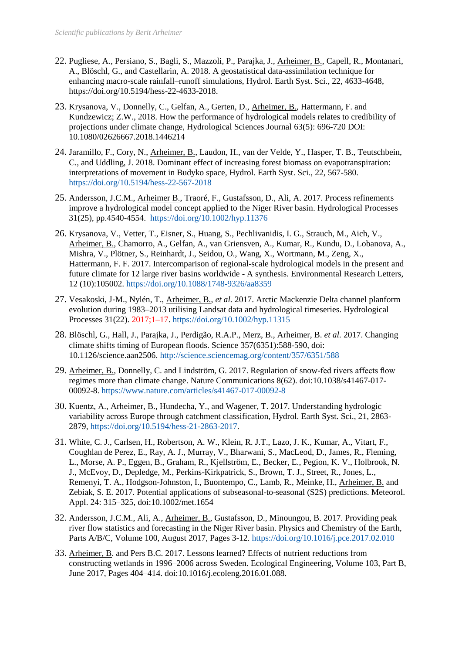- 22. Pugliese, A., Persiano, S., Bagli, S., Mazzoli, P., Parajka, J., Arheimer, B., Capell, R., Montanari, A., Blöschl, G., and Castellarin, A. 2018. A geostatistical data-assimilation technique for enhancing macro-scale rainfall–runoff simulations, Hydrol. Earth Syst. Sci., 22, 4633-4648, https://doi.org/10.5194/hess-22-4633-2018.
- 23. Krysanova, V., Donnelly, C., Gelfan, A., Gerten, D., Arheimer, B., Hattermann, F. and Kundzewicz; Z.W., 2018. How the performance of hydrological models relates to credibility of projections under climate change, Hydrological Sciences Journal 63(5): 696-720 DOI: 10.1080/02626667.2018.1446214
- 24. Jaramillo, F., Cory, N., Arheimer, B., Laudon, H., van der Velde, Y., Hasper, T. B., Teutschbein, C., and Uddling, J. 2018. Dominant effect of increasing forest biomass on evapotranspiration: interpretations of movement in Budyko space, Hydrol. Earth Syst. Sci., 22, 567-580. <https://doi.org/10.5194/hess-22-567-2018>
- 25. Andersson, J.C.M., Arheimer B., Traoré, F., Gustafsson, D., Ali, A. 2017. Process refinements improve a hydrological model concept applied to the Niger River basin. Hydrological Processes 31(25), pp.4540-4554. <https://doi.org/10.1002/hyp.11376>
- 26. Krysanova, V., Vetter, T., Eisner, S., Huang, S., Pechlivanidis, I. G., Strauch, M., Aich, V., Arheimer, B., Chamorro, A., Gelfan, A., van Griensven, A., Kumar, R., Kundu, D., Lobanova, A., Mishra, V., Plötner, S., Reinhardt, J., Seidou, O., Wang, X., Wortmann, M., Zeng, X., Hattermann, F. F. 2017. Intercomparison of regional-scale hydrological models in the present and future climate for 12 large river basins worldwide - A synthesis. Environmental Research Letters, 12 (10):105002. <https://doi.org/10.1088/1748-9326/aa8359>
- 27. Vesakoski, J‐M., Nylén, T., Arheimer, B., *et al.* 2017. Arctic Mackenzie Delta channel planform evolution during 1983–2013 utilising Landsat data and hydrological timeseries. Hydrological Processes 31(22). 2017;1–17. <https://doi.org/10.1002/hyp.11315>
- 28. Blöschl, G., Hall, J., Parajka, J., Perdigão, R.A.P., Merz, B., Arheimer, B. *et al.* 2017. Changing climate shifts timing of European floods. Science 357(6351):588-590, doi: 10.1126/science.aan2506.<http://science.sciencemag.org/content/357/6351/588>
- 29. Arheimer, B., Donnelly, C. and Lindström, G. 2017. Regulation of snow-fed rivers affects flow regimes more than climate change. Nature Communications 8(62). doi:10.1038/s41467-017- 00092-8. <https://www.nature.com/articles/s41467-017-00092-8>
- 30. Kuentz, A., Arheimer, B., Hundecha, Y., and Wagener, T. 2017. Understanding hydrologic variability across Europe through catchment classification, Hydrol. Earth Syst. Sci., 21, 2863- 2879, [https://doi.org/10.5194/hess-21-2863-2017.](https://doi.org/10.5194/hess-21-2863-2017)
- 31. White, C. J., Carlsen, H., Robertson, A. W., Klein, R. J.T., Lazo, J. K., Kumar, A., Vitart, F., Coughlan de Perez, E., Ray, A. J., Murray, V., Bharwani, S., MacLeod, D., James, R., Fleming, L., Morse, A. P., Eggen, B., Graham, R., Kjellström, E., Becker, E., Pegion, K. V., Holbrook, N. J., McEvoy, D., Depledge, M., Perkins-Kirkpatrick, S., Brown, T. J., Street, R., Jones, L., Remenyi, T. A., Hodgson-Johnston, I., Buontempo, C., Lamb, R., Meinke, H., Arheimer, B. and Zebiak, S. E. 2017. Potential applications of subseasonal-to-seasonal (S2S) predictions. Meteorol. Appl. 24: 315–325, doi:10.1002/met.1654
- 32. Andersson, J.C.M., Ali, A., Arheimer, B., Gustafsson, D., Minoungou, B. 2017. Providing peak river flow statistics and forecasting in the Niger River basin. Physics and Chemistry of the Earth, Parts A/B/C, Volume 100, August 2017, Pages 3-12[. https://doi.org/10.1016/j.pce.2017.02.010](https://doi.org/10.1016/j.pce.2017.02.010)
- 33. Arheimer, B. and Pers B.C. 2017. Lessons learned? Effects of nutrient reductions from constructing wetlands in 1996–2006 across Sweden. Ecological Engineering, Volume 103, Part B, June 2017, Pages 404–414. doi:10.1016/j.ecoleng.2016.01.088.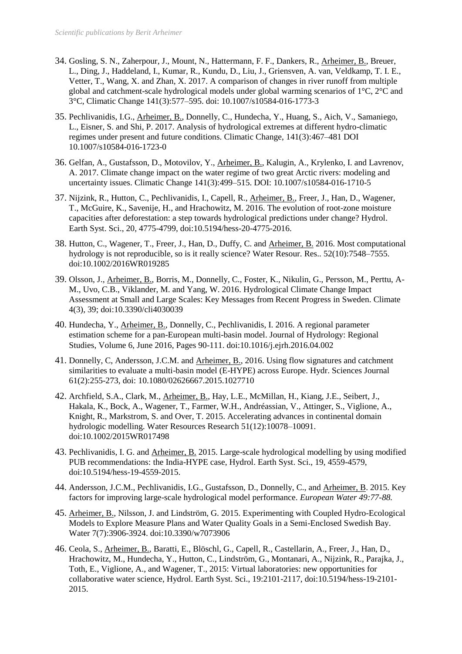- 34. Gosling, S. N., Zaherpour, J., Mount, N., Hattermann, F. F., Dankers, R., Arheimer, B., Breuer, L., Ding, J., Haddeland, I., Kumar, R., Kundu, D., Liu, J., Griensven, A. van, Veldkamp, T. I. E., Vetter, T., Wang, X. and Zhan, X. 2017. A comparison of changes in river runoff from multiple global and catchment-scale hydrological models under global warming scenarios of 1°C, 2°C and 3°C, Climatic Change 141(3):577–595. doi: 10.1007/s10584-016-1773-3
- 35. Pechlivanidis, I.G., Arheimer, B., Donnelly, C., Hundecha, Y., Huang, S., Aich, V., Samaniego, L., Eisner, S. and Shi, P. 2017. Analysis of hydrological extremes at different hydro-climatic regimes under present and future conditions. Climatic Change, 141(3):467–481 DOI 10.1007/s10584-016-1723-0
- 36. Gelfan, A., Gustafsson, D., Motovilov, Y., Arheimer, B., Kalugin, A., Krylenko, I. and Lavrenov, A. 2017. Climate change impact on the water regime of two great Arctic rivers: modeling and uncertainty issues. Climatic Change 141(3):499–515. DOI: 10.1007/s10584-016-1710-5
- 37. Nijzink, R., Hutton, C., Pechlivanidis, I., Capell, R., Arheimer, B., Freer, J., Han, D., Wagener, T., McGuire, K., Savenije, H., and Hrachowitz, M. 2016. The evolution of root-zone moisture capacities after deforestation: a step towards hydrological predictions under change? Hydrol. Earth Syst. Sci., 20, 4775-4799, doi:10.5194/hess-20-4775-2016.
- 38. Hutton, C., Wagener, T., Freer, J., Han, D., Duffy, C. and Arheimer, B. 2016. Most computational hydrology is not reproducible, so is it really science? Water Resour. Res.. 52(10):7548–7555. doi:10.1002/2016WR019285
- 39. Olsson, J., Arheimer, B., Borris, M., Donnelly, C., Foster, K., Nikulin, G., Persson, M., Perttu, A-M., Uvo, C.B., Viklander, M. and Yang, W. 2016. Hydrological Climate Change Impact Assessment at Small and Large Scales: Key Messages from Recent Progress in Sweden. Climate 4(3), 39; doi:10.3390/cli4030039
- 40. Hundecha, Y., Arheimer, B., Donnelly, C., Pechlivanidis, I. 2016. A regional parameter estimation scheme for a pan-European multi-basin model. Journal of Hydrology: Regional Studies, Volume 6, June 2016, Pages 90-111. doi:10.1016/j.ejrh.2016.04.002
- 41. Donnelly, C, Andersson, J.C.M. and Arheimer, B., 2016. Using flow signatures and catchment similarities to evaluate a multi-basin model (E-HYPE) across Europe. Hydr. Sciences Journal 61(2):255-273, doi: 10.1080/02626667.2015.1027710
- 42. Archfield, S.A., Clark, M., Arheimer, B., Hay, L.E., McMillan, H., Kiang, J.E., Seibert, J., Hakala, K., Bock, A., Wagener, T., Farmer, W.H., Andréassian, V., Attinger, S., Viglione, A., Knight, R., Markstrom, S. and Over, T. 2015. Accelerating advances in continental domain hydrologic modelling. Water Resources Research 51(12):10078–10091. doi:10.1002/2015WR017498
- 43. Pechlivanidis, I. G. and Arheimer, B. 2015. Large-scale hydrological modelling by using modified PUB recommendations: the India-HYPE case, Hydrol. Earth Syst. Sci., 19, 4559-4579, doi:10.5194/hess-19-4559-2015.
- 44. Andersson, J.C.M., Pechlivanidis, I.G., Gustafsson, D., Donnelly, C., and Arheimer, B. 2015. Key factors for improving large-scale hydrological model performance. *European Water 49:77-88.*
- 45. Arheimer, B., Nilsson, J. and Lindström, G. 2015. Experimenting with Coupled Hydro-Ecological Models to Explore Measure Plans and Water Quality Goals in a Semi-Enclosed Swedish Bay. Water 7(7):3906-3924. doi:10.3390/w7073906
- 46. Ceola, S., Arheimer, B., Baratti, E., Blöschl, G., Capell, R., Castellarin, A., Freer, J., Han, D., Hrachowitz, M., Hundecha, Y., Hutton, C., Lindström, G., Montanari, A., Nijzink, R., Parajka, J., Toth, E., Viglione, A., and Wagener, T., 2015: Virtual laboratories: new opportunities for collaborative water science, Hydrol. Earth Syst. Sci., 19:2101-2117, doi:10.5194/hess-19-2101- 2015.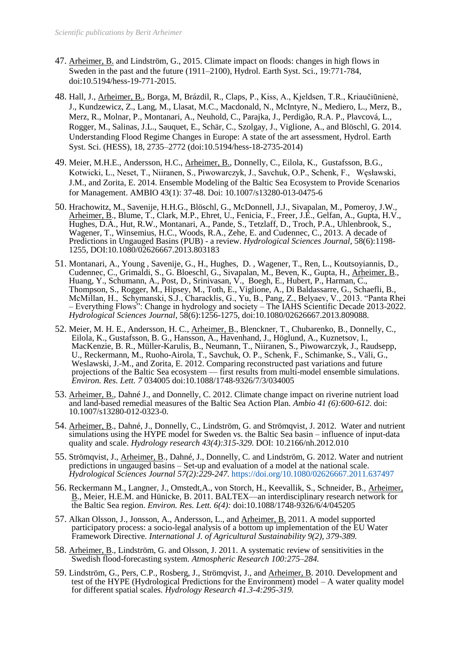- 47. Arheimer, B. and Lindström, G., 2015. Climate impact on floods: changes in high flows in Sweden in the past and the future (1911–2100), Hydrol. Earth Syst. Sci., 19:771-784, doi:10.5194/hess-19-771-2015.
- 48. Hall, J., Arheimer, B., Borga, M, Brázdil, R., Claps, P., Kiss, A., Kjeldsen, T.R., Kriaučiūnienė, J., Kundzewicz, Z., Lang, M., Llasat, M.C., Macdonald, N., McIntyre, N., Mediero, L., Merz, B., Merz, R., Molnar, P., Montanari, A., Neuhold, C., Parajka, J., Perdigão, R.A. P., Plavcová, L., Rogger, M., Salinas, J.L., Sauquet, E., Schär, C., Szolgay, J., Viglione, A., and Blöschl, G. 2014. Understanding Flood Regime Changes in Europe: A state of the art assessment, Hydrol. Earth Syst. Sci. (HESS), 18, 2735–2772 (doi:10.5194/hess-18-2735-2014)
- 49. Meier, M.H.E., Andersson, H.C., Arheimer, B., Donnelly, C., Eilola, K., Gustafsson, B.G., Kotwicki, L., Neset, T., Niiranen, S., Piwowarczyk, J., Savchuk, O.P., Schenk, F., Węsławski, J.M., and Zorita, E. 2014. Ensemble Modeling of the Baltic Sea Ecosystem to Provide Scenarios for Management. AMBIO 43(1): 37-48. Doi: 10.1007/s13280-013-0475-6
- 50. Hrachowitz, M., Savenije, H.H.G., Blöschl, G., McDonnell, J.J., Sivapalan, M., Pomeroy, J.W., Arheimer, B., Blume, T., Clark, M.P., Ehret, U., Fenicia, F., Freer, J.E., Gelfan, A., Gupta, H.V., Hughes, D.A., Hut, R.W., Montanari, A., Pande, S., Tetzlaff, D., Troch, P.A., Uhlenbrook, S., Wagener, T., Winsemius, H.C., Woods, R.A., Zehe, E. and Cudennec, C., 2013. A decade of Predictions in Ungauged Basins (PUB) - a review. *Hydrological Sciences Journal*, 58(6):1198- 1255, DOI:10.1080/02626667.2013.803183
- 51. Montanari, A., Young , Savenije, G., H., Hughes, D. , Wagener, T., Ren, L., Koutsoyiannis, D., Cudennec, C., Grimaldi, S., G. Bloeschl, G., Sivapalan, M., Beven, K., Gupta, H., Arheimer, B., Huang, Y., Schumann, A., Post, D., Srinivasan, V., Boegh, E., Hubert, P., Harman, C., Thompson, S., Rogger, M., Hipsey, M., Toth, E., Viglione, A., Di Baldassarre, G., Schaefli, B., McMillan, H., Schymanski, S.J., Characklis, G., Yu, B., Pang, Z., Belyaev, V., 2013. "Panta Rhei – Everything Flows": Change in hydrology and society – The IAHS Scientific Decade 2013-2022. *Hydrological Sciences Journal*, 58(6):1256-1275, doi:10.1080/02626667.2013.809088.
- 52. Meier, M. H. E., Andersson, H. C., Arheimer, B., Blenckner, T., Chubarenko, B., Donnelly, C., Eilola, K., Gustafsson, B. G., Hansson, A., Havenhand, J., Höglund, A., Kuznetsov, I., MacKenzie, B. R., Müller-Karulis, B., Neumann, T., Niiranen, S., Piwowarczyk, J., Raudsepp, U., Reckermann, M., Ruoho-Airola, T., Savchuk, O. P., Schenk, F., Schimanke, S., Väli, G., Weslawski, J.-M., and Zorita, E. 2012. Comparing reconstructed past variations and future projections of the Baltic Sea ecosystem — first results from multi-model ensemble simulations. *Environ. Res. Lett. 7* 034005 doi:10.1088/1748-9326/7/3/034005
- 53. Arheimer, B., Dahné J., and Donnelly, C. 2012. Climate change impact on riverine nutrient load and land-based remedial measures of the Baltic Sea Action Plan. *Ambio 41 (6):600-612.* doi: 10.1007/s13280-012-0323-0.
- 54. Arheimer, B., Dahné, J., Donnelly, C., Lindström, G. and Strömqvist, J. 2012. Water and nutrient simulations using the HYPE model for Sweden vs. the Baltic Sea basin – influence of input-data quality and scale. *Hydrology research 43(4):315-329.* DOI: 10.2166/nh.2012.010
- 55. Strömqvist, J., Arheimer, B., Dahné, J., Donnelly, C. and Lindström, G. 2012. Water and nutrient predictions in ungauged basins – Set-up and evaluation of a model at the national scale. *Hydrological Sciences Journal 57(2):229-247.* <https://doi.org/10.1080/02626667.2011.637497>
- 56. Reckermann M., Langner, J., Omstedt,A., von Storch, H., Keevallik, S., Schneider, B., Arheimer, B., Meier, H.E.M. and Hünicke, B. 2011. BALTEX—an interdisciplinary research network for the Baltic Sea region. *Environ. Res. Lett. 6(4):* [doi:10.1088/1748-9326/6/4/045205](http://dx.doi.org/10.1088/1748-9326/6/4/045205)
- 57. Alkan Olsson, J., Jonsson, A., Andersson, L., and **Arheimer, B.** 2011. A model supported participatory process: a socio-legal analysis of a bottom up implementation of the EU Water Framework Directive. *International J. of Agricultural Sustainability 9(2), 379-389.*
- 58. Arheimer, B., Lindström, G. and Olsson, J. 2011. A systematic review of sensitivities in the Swedish flood-forecasting system. *Atmospheric Research 100:275–284.*
- 59. Lindström, G., Pers, C.P., Rosberg, J., Strömqvist, J., and Arheimer, B. 2010. Development and test of the HYPE (Hydrological Predictions for the Environment) model – A water quality model for different spatial scales. *Hydrology Research 41.3-4:295-319.*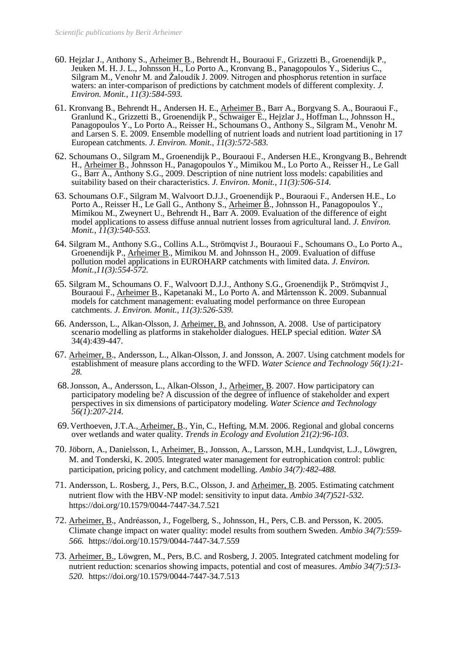- 60. Hejzlar J., Anthony S., Arheimer B., Behrendt H., Bouraoui F., Grizzetti B., Groenendijk P., Jeuken M. H. J. L., Johnsson H., Lo Porto A., Kronvang B., Panagopoulos Y., Siderius C., Silgram M., Venohr M. and Žaloudík J. 2009. Nitrogen and phosphorus retention in surface waters: an inter-comparison of predictions by catchment models of different complexity. *J. Environ. Monit., 11(3):584-593.*
- 61. Kronvang B., Behrendt H., Andersen H. E., Arheimer B., Barr A., Borgvang S. A., Bouraoui F., Granlund K., Grizzetti B., Groenendijk P., Schwaiger E., Hejzlar J., Hoffman L., Johnsson H., Panagopoulos Y., Lo Porto A., Reisser H., Schoumans O., Anthony S., Silgram M., Venohr M. and Larsen S. E. 2009. Ensemble modelling of nutrient loads and nutrient load partitioning in 17 European catchments. *J. Environ. Monit., 11(3):572-583.*
- 62. Schoumans O., Silgram M., Groenendijk P., Bouraoui F., Andersen H.E., Krongvang B., Behrendt H., Arheimer B., Johnsson H., Panagopoulos Y., Mimikou M., Lo Porto A., Reisser H., Le Gall G., Barr A., Anthony S.G., 2009. Description of nine nutrient loss models: capabilities and suitability based on their characteristics. *J. Environ. Monit., 11(3):506-514.*
- 63. Schoumans O.F., Silgram M., Walvoort D.J.J., Groenendijk P., Bouraoui F., Andersen H.E., Lo Porto A., Reisser H., Le Gall G., Anthony S., Arheimer B., Johnsson H., Panagopoulos Y., Mimikou M., Zweynert U., Behrendt H., Barr A. 2009. Evaluation of the difference of eight model applications to assess diffuse annual nutrient losses from agricultural land. *J. Environ. Monit., 11(3):540-553.*
- 64. Silgram M., Anthony S.G., Collins A.L., Strömqvist J., Bouraoui F., Schoumans O., Lo Porto A., Groenendijk P., Arheimer B., Mimikou M. and Johnsson H., 2009. Evaluation of diffuse pollution model applications in EUROHARP catchments with limited data. *J. Environ. Monit.,11(3):554-572.*
- 65. Silgram M., Schoumans O. F., Walvoort D.J.J., Anthony S.G., Groenendijk P., Strömqvist J., Bouraoui F., Arheimer B., Kapetanaki M., Lo Porto A. and Mårtensson K. 2009. Subannual models for catchment management: evaluating model performance on three European catchments. *J. Environ. Monit., 11(3):526-539.*
- 66. Andersson, L., Alkan-Olsson, J. Arheimer, B. and Johnsson, A. 2008. Use of participatory scenario modelling as platforms in stakeholder dialogues. HELP special edition. *Water SA* 34(4):439-447.
- 67. Arheimer, B., Andersson, L., Alkan-Olsson, J. and Jonsson, A. 2007. Using catchment models for establishment of measure plans according to the WFD. *Water Science and Technology 56(1):21- 28.*
- 68.Jonsson, A., Andersson, L., Alkan-Olsson¸ J., Arheimer, B. 2007. How participatory can participatory modeling be? A discussion of the degree of influence of stakeholder and expert perspectives in six dimensions of participatory modeling. *Water Science and Technology 56(1):207-214.*
- 69.Verthoeven, J.T.A., Arheimer, B., Yin, C., Hefting, M.M. 2006. Regional and global concerns over wetlands and water quality. *Trends in Ecology and Evolution 21(2):96-103*.
- 70. Jöborn, A., Danielsson, I., Arheimer, B., Jonsson, A., Larsson, M.H., Lundqvist, L.J., Löwgren, M. and Tonderski, K. 2005. Integrated water management for eutrophication control: public participation, pricing policy, and catchment modelling. *Ambio 34(7):482-488.*
- 71. Andersson, L. Rosberg, J., Pers, B.C., Olsson, J. and Arheimer, B. 2005. Estimating catchment nutrient flow with the HBV-NP model: sensitivity to input data. *Ambio 34(7)521-532.* https://doi.org/10.1579/0044-7447-34.7.521
- 72. Arheimer, B., Andréasson, J., Fogelberg, S., Johnsson, H., Pers, C.B. and Persson, K. 2005. Climate change impact on water quality: model results from southern Sweden. *Ambio 34(7):559- 566.* https://doi.org/10.1579/0044-7447-34.7.559
- 73. Arheimer, B., Löwgren, M., Pers, B.C. and Rosberg, J. 2005. Integrated catchment modeling for nutrient reduction: scenarios showing impacts, potential and cost of measures. *Ambio 34(7):513- 520.* https://doi.org/10.1579/0044-7447-34.7.513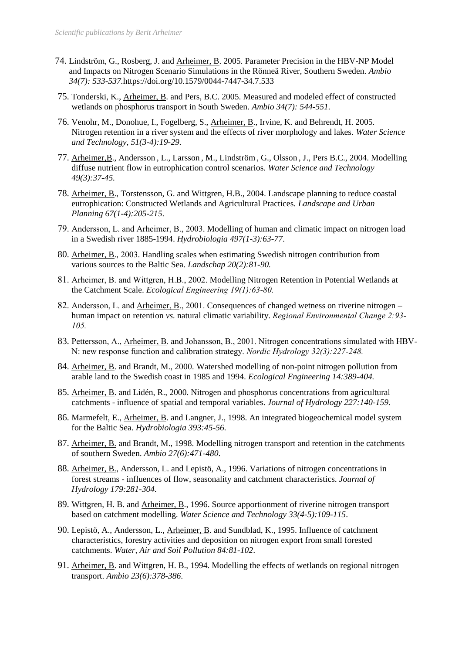- 74. Lindström, G., Rosberg, J. and Arheimer, B. 2005. Parameter Precision in the HBV-NP Model and Impacts on Nitrogen Scenario Simulations in the Rönneä River, Southern Sweden. *Ambio 34(7): 533-537.*https://doi.org/10.1579/0044-7447-34.7.533
- 75. Tonderski, K., Arheimer, B. and Pers, B.C. 2005. Measured and modeled effect of constructed wetlands on phosphorus transport in South Sweden. *Ambio 34(7): 544-551.*
- 76. Venohr, M., Donohue, I., Fogelberg, S., Arheimer, B., Irvine, K. and Behrendt, H. 2005. Nitrogen retention in a river system and the effects of river morphology and lakes*. Water Science and Technology, 51(3-4):19-29.*
- 77. Arheimer,B., Andersson , L., Larsson , M., Lindström, G., Olsson , J., Pers B.C., 2004. Modelling diffuse nutrient flow in eutrophication control scenarios. *Water Science and Technology 49(3):37-45.*
- 78. Arheimer, B., Torstensson, G. and Wittgren, H.B., 2004. Landscape planning to reduce coastal eutrophication: Constructed Wetlands and Agricultural Practices. *Landscape and Urban Planning 67(1-4):205-215*.
- 79. Andersson, L. and Arheimer, B., 2003. Modelling of human and climatic impact on nitrogen load in a Swedish river 1885-1994. *Hydrobiologia 497(1-3):63-77*.
- 80. Arheimer, B., 2003. Handling scales when estimating Swedish nitrogen contribution from various sources to the Baltic Sea. *Landschap 20(2):81-90.*
- 81. Arheimer, B. and Wittgren, H.B., 2002. Modelling Nitrogen Retention in Potential Wetlands at the Catchment Scale. *Ecological Engineering 19(1):63-80.*
- 82. Andersson, L. and Arheimer, B., 2001. Consequences of changed wetness on riverine nitrogen human impact on retention *vs.* natural climatic variability. *Regional Environmental Change 2:93- 105.*
- 83. Pettersson, A., Arheimer, B. and Johansson, B., 2001. Nitrogen concentrations simulated with HBV-N: new response function and calibration strategy. *Nordic Hydrology 32(3):227-248.*
- 84. Arheimer, B. and Brandt, M., 2000. Watershed modelling of non-point nitrogen pollution from arable land to the Swedish coast in 1985 and 1994. *Ecological Engineering 14:389-404.*
- 85. Arheimer, B. and Lidén, R., 2000. Nitrogen and phosphorus concentrations from agricultural catchments - influence of spatial and temporal variables. *Journal of Hydrology 227:140-159.*
- 86. Marmefelt, E., Arheimer, B. and Langner, J., 1998. An integrated biogeochemical model system for the Baltic Sea. *Hydrobiologia 393:45-56.*
- 87. Arheimer, B. and Brandt, M., 1998. Modelling nitrogen transport and retention in the catchments of southern Sweden. *Ambio 27(6):471-480*.
- 88. Arheimer, B., Andersson, L. and Lepistö, A., 1996. Variations of nitrogen concentrations in forest streams - influences of flow, seasonality and catchment characteristics. *Journal of Hydrology 179:281-304.*
- 89. Wittgren, H. B. and Arheimer, B., 1996. Source apportionment of riverine nitrogen transport based on catchment modelling. *Water Science and Technology 33(4-5):109-115*.
- 90. Lepistö, A., Andersson, L., Arheimer, B. and Sundblad, K., 1995. Influence of catchment characteristics, forestry activities and deposition on nitrogen export from small forested catchments. *Water, Air and Soil Pollution 84:81-102*.
- 91. Arheimer, B. and Wittgren, H. B., 1994. Modelling the effects of wetlands on regional nitrogen transport. *Ambio 23(6):378-386*.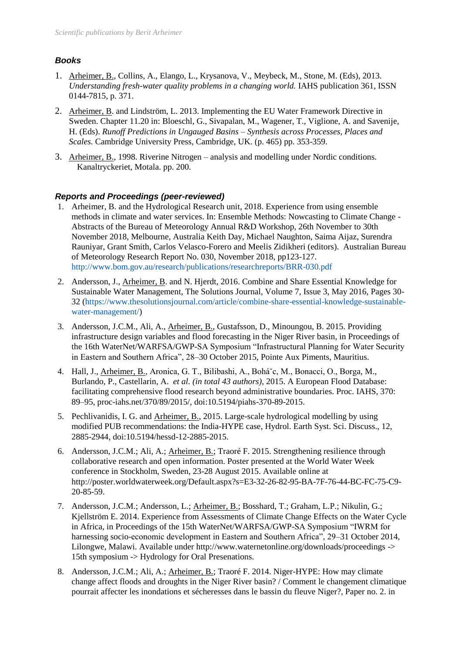# *Books*

- 1. Arheimer, B., Collins, A., Elango, L., Krysanova, V., Meybeck, M., Stone, M. (Eds), 2013. *Understanding fresh-water quality problems in a changing world.* IAHS publication 361, ISSN 0144-7815, p. 371.
- 2. Arheimer, B. and Lindström, L. 2013. Implementing the EU Water Framework Directive in Sweden. Chapter 11.20 in: Bloeschl, G., Sivapalan, M., Wagener, T., Viglione, A. and Savenije, H. (Eds). *Runoff Predictions in Ungauged Basins – Synthesis across Processes, Places and Scales.* Cambridge University Press, Cambridge, UK. (p. 465) pp. 353-359.
- 3. Arheimer, B., 1998. Riverine Nitrogen analysis and modelling under Nordic conditions. Kanaltryckeriet, Motala. pp. 200.

## *Reports and Proceedings (peer-reviewed)*

- 1. Arheimer, B. and the Hydrological Research unit, 2018. Experience from using ensemble methods in climate and water services. In: Ensemble Methods: Nowcasting to Climate Change - Abstracts of the Bureau of Meteorology Annual R&D Workshop, 26th November to 30th November 2018, Melbourne, Australia Keith Day, Michael Naughton, Saima Aijaz, Surendra Rauniyar, Grant Smith, Carlos Velasco-Forero and Meelis Zidikheri (editors). Australian Bureau of Meteorology Research Report No. 030, November 2018, pp123-127. <http://www.bom.gov.au/research/publications/researchreports/BRR-030.pdf>
- 2. Andersson, J., Arheimer, B. and N. Hjerdt, 2016. Combine and Share Essential Knowledge for Sustainable Water Management, The Solutions Journal, Volume 7, Issue 3, May 2016, Pages 30- 32 [\(https://www.thesolutionsjournal.com/article/combine-share-essential-knowledge-sustainable](https://www.thesolutionsjournal.com/article/combine-share-essential-knowledge-sustainable-water-management/)[water-management/\)](https://www.thesolutionsjournal.com/article/combine-share-essential-knowledge-sustainable-water-management/)
- 3. Andersson, J.C.M., Ali, A., Arheimer, B., Gustafsson, D., Minoungou, B. 2015. Providing infrastructure design variables and flood forecasting in the Niger River basin, in Proceedings of the 16th WaterNet/WARFSA/GWP-SA Symposium "Infrastructural Planning for Water Security in Eastern and Southern Africa", 28–30 October 2015, Pointe Aux Piments, Mauritius.
- 4. Hall, J., Arheimer, B., Aronica, G. T., Bilibashi, A., Boháˇc, M., Bonacci, O., Borga, M., Burlando, P., Castellarin, A. *et al. (in total 43 authors)*, 2015. A European Flood Database: facilitating comprehensive flood research beyond administrative boundaries. Proc. IAHS, 370: 89–95, proc-iahs.net/370/89/2015/, doi:10.5194/piahs-370-89-2015.
- 5. Pechlivanidis, I. G. and Arheimer, B., 2015. Large-scale hydrological modelling by using modified PUB recommendations: the India-HYPE case, Hydrol. Earth Syst. Sci. Discuss., 12, 2885-2944, doi:10.5194/hessd-12-2885-2015.
- 6. Andersson, J.C.M.; Ali, A.; Arheimer, B.; Traoré F. 2015. Strengthening resilience through collaborative research and open information. Poster presented at the World Water Week conference in Stockholm, Sweden, 23-28 August 2015. Available online at http://poster.worldwaterweek.org/Default.aspx?s=E3-32-26-82-95-BA-7F-76-44-BC-FC-75-C9- 20-85-59.
- 7. Andersson, J.C.M.; Andersson, L.; Arheimer, B.; Bosshard, T.; Graham, L.P.; Nikulin, G.; Kjellström E. 2014. Experience from Assessments of Climate Change Effects on the Water Cycle in Africa, in Proceedings of the 15th WaterNet/WARFSA/GWP-SA Symposium "IWRM for harnessing socio-economic development in Eastern and Southern Africa", 29–31 October 2014, Lilongwe, Malawi. Available under http://www.waternetonline.org/downloads/proceedings -> 15th symposium -> Hydrology for Oral Presenations.
- 8. Andersson, J.C.M.; Ali, A.; Arheimer, B.; Traoré F. 2014. Niger-HYPE: How may climate change affect floods and droughts in the Niger River basin? / Comment le changement climatique pourrait affecter les inondations et sécheresses dans le bassin du fleuve Niger?, Paper no. 2. in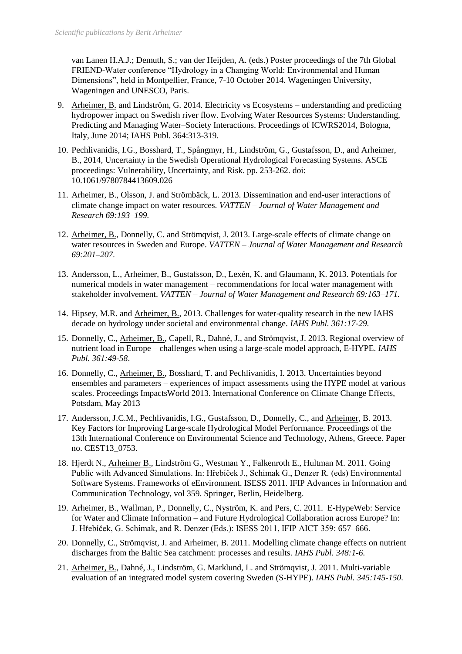van Lanen H.A.J.; Demuth, S.; van der Heijden, A. (eds.) Poster proceedings of the 7th Global FRIEND-Water conference "Hydrology in a Changing World: Environmental and Human Dimensions", held in Montpellier, France, 7-10 October 2014. Wageningen University, Wageningen and UNESCO, Paris.

- 9. Arheimer, B. and Lindström, G. 2014. Electricity vs Ecosystems understanding and predicting hydropower impact on Swedish river flow. Evolving Water Resources Systems: Understanding, Predicting and Managing Water–Society Interactions. Proceedings of ICWRS2014, Bologna, Italy, June 2014; IAHS Publ. 364:313-319.
- 10. Pechlivanidis, I.G., Bosshard, T., Spångmyr, H., Lindström, G., Gustafsson, D., and Arheimer, B., 2014, Uncertainty in the Swedish Operational Hydrological Forecasting Systems. ASCE proceedings: Vulnerability, Uncertainty, and Risk. pp. 253-262. doi: 10.1061/9780784413609.026
- 11. Arheimer, B., Olsson, J. and Strömbäck, L. 2013. Dissemination and end-user interactions of climate change impact on water resources. *VATTEN – Journal of Water Management and Research 69:193–199.*
- 12. Arheimer, B., Donnelly, C. and Strömqvist, J. 2013. Large-scale effects of climate change on water resources in Sweden and Europe. *VATTEN – Journal of Water Management and Research 69:201–207.*
- 13. Andersson, L., Arheimer, B., Gustafsson, D., Lexén, K. and Glaumann, K. 2013. Potentials for numerical models in water management – recommendations for local water management with stakeholder involvement. *VATTEN – Journal of Water Management and Research 69:163–171.*
- 14. Hipsey, M.R. and Arheimer, B., 2013. Challenges for water-quality research in the new IAHS decade on hydrology under societal and environmental change. *IAHS Publ. 361:17-29.*
- 15. Donnelly, C., Arheimer, B., Capell, R., Dahné, J., and Strömqvist, J. 2013. Regional overview of nutrient load in Europe – challenges when using a large-scale model approach, E-HYPE. *IAHS Publ. 361:49-58*.
- 16. Donnelly, C., Arheimer, B., Bosshard, T. and Pechlivanidis, I. 2013. Uncertainties beyond ensembles and parameters – experiences of impact assessments using the HYPE model at various scales. Proceedings ImpactsWorld 2013. International Conference on Climate Change Effects, Potsdam, May 2013
- 17. Andersson, J.C.M., Pechlivanidis, I.G., Gustafsson, D., Donnelly, C., and Arheimer, B. 2013. Key Factors for Improving Large-scale Hydrological Model Performance. Proceedings of the 13th International Conference on Environmental Science and Technology, Athens, Greece. Paper no. CEST13\_0753.
- 18. Hjerdt N., Arheimer B., Lindström G., Westman Y., Falkenroth E., Hultman M. 2011. Going Public with Advanced Simulations. In: Hřebíček J., Schimak G., Denzer R. (eds) Environmental Software Systems. Frameworks of eEnvironment. ISESS 2011. IFIP Advances in Information and Communication Technology, vol 359. Springer, Berlin, Heidelberg.
- 19. Arheimer, B., Wallman, P., Donnelly, C., Nyström, K. and Pers, C. 2011. E-HypeWeb: Service for Water and Climate Information – and Future Hydrological Collaboration across Europe? In: J. Hřebíček, G. Schimak, and R. Denzer (Eds.): ISESS 2011, IFIP AICT 359: 657–666.
- 20. Donnelly, C., Strömqvist, J. and Arheimer, B. 2011. Modelling climate change effects on nutrient discharges from the Baltic Sea catchment: processes and results. *IAHS Publ. 348:1-6.*
- 21. Arheimer, B., Dahné, J., Lindström, G. Marklund, L. and Strömqvist, J. 2011. Multi-variable evaluation of an integrated model system covering Sweden (S-HYPE). *IAHS Publ. 345:145-150.*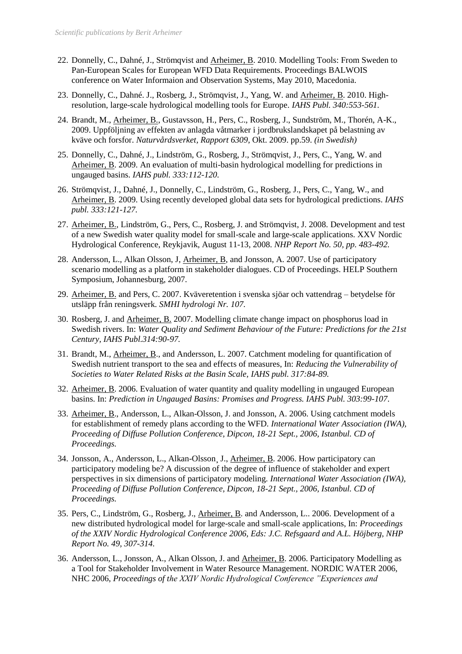- 22. Donnelly, C., Dahné, J., Strömqvist and Arheimer, B. 2010. Modelling Tools: From Sweden to Pan-European Scales for European WFD Data Requirements. Proceedings BALWOIS conference on Water Informaion and Observation Systems, May 2010, Macedonia.
- 23. Donnelly, C., Dahné. J., Rosberg, J., Strömqvist, J., Yang, W. and Arheimer, B. 2010. Highresolution, large-scale hydrological modelling tools for Europe. *IAHS Publ. 340:553-561.*
- 24. Brandt, M., Arheimer, B., Gustavsson, H., Pers, C., Rosberg, J., Sundström, M., Thorén, A-K., 2009. Uppföljning av effekten av anlagda våtmarker i jordbrukslandskapet på belastning av kväve och forsfor. *Naturvårdsverket, Rapport 6309*, Okt. 2009. pp.59. *(in Swedish)*
- 25. Donnelly, C., Dahné, J., Lindström, G., Rosberg, J., Strömqvist, J., Pers, C., Yang, W. and Arheimer, B. 2009. An evaluation of multi-basin hydrological modelling for predictions in ungauged basins. *IAHS publ. 333:112-120.*
- 26. Strömqvist, J., Dahné, J., Donnelly, C., Lindström, G., Rosberg, J., Pers, C., Yang, W., and Arheimer, B. 2009. Using recently developed global data sets for hydrological predictions. *IAHS publ. 333:121-127.*
- 27. Arheimer, B., Lindström, G., Pers, C., Rosberg, J. and Strömqvist, J. 2008. Development and test of a new Swedish water quality model for small-scale and large-scale applications. XXV Nordic Hydrological Conference, Reykjavik, August 11-13, 2008. *NHP Report No. 50, pp. 483-492.*
- 28. Andersson, L., Alkan Olsson, J, Arheimer, B, and Jonsson, A. 2007. Use of participatory scenario modelling as a platform in stakeholder dialogues. CD of Proceedings. HELP Southern Symposium, Johannesburg, 2007.
- 29. Arheimer, B. and Pers, C. 2007. Kväveretention i svenska sjöar och vattendrag betydelse för utsläpp från reningsverk. *SMHI hydrologi Nr. 107.*
- 30. Rosberg, J. and Arheimer, B. 2007. Modelling climate change impact on phosphorus load in Swedish rivers. In: *Water Quality and Sediment Behaviour of the Future: Predictions for the 21st Century, IAHS Publ.314:90-97.*
- 31. Brandt, M., Arheimer, B., and Andersson, L. 2007. Catchment modeling for quantification of Swedish nutrient transport to the sea and effects of measures, In: *Reducing the Vulnerability of Societies to Water Related Risks at the Basin Scale, IAHS publ. 317:84-89.*
- 32. Arheimer, B. 2006. Evaluation of water quantity and quality modelling in ungauged European basins. In: *Prediction in Ungauged Basins: Promises and Progress. IAHS Publ. 303:99-107*.
- 33. Arheimer, B., Andersson, L., Alkan-Olsson, J. and Jonsson, A. 2006. Using catchment models for establishment of remedy plans according to the WFD. *International Water Association (IWA), Proceeding of Diffuse Pollution Conference, Dipcon, 18-21 Sept., 2006, Istanbul. CD of Proceedings.*
- 34. Jonsson, A., Andersson, L., Alkan-Olsson¸ J., Arheimer, B. 2006. How participatory can participatory modeling be? A discussion of the degree of influence of stakeholder and expert perspectives in six dimensions of participatory modeling. *International Water Association (IWA), Proceeding of Diffuse Pollution Conference, Dipcon, 18-21 Sept., 2006, Istanbul. CD of Proceedings.*
- 35. Pers, C., Lindström, G., Rosberg, J., Arheimer, B. and Andersson, L.. 2006. Development of a new distributed hydrological model for large-scale and small-scale applications, In: *Proceedings of the XXIV Nordic Hydrological Conference 2006, Eds: J.C. Refsgaard and A.L. Höjberg, NHP Report No. 49, 307-314.*
- 36. Andersson, L., Jonsson, A., Alkan Olsson, J. and Arheimer, B. 2006. Participatory Modelling as a Tool for Stakeholder Involvement in Water Resource Management. NORDIC WATER 2006, NHC 2006, *Proceedings of the XXIV Nordic Hydrological Conference "Experiences and*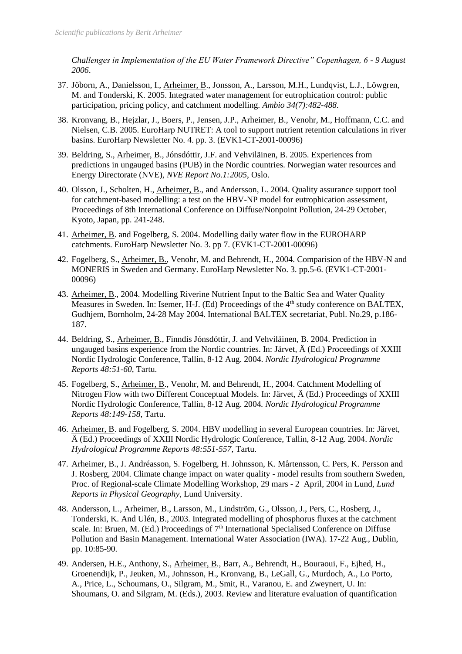*Challenges in Implementation of the EU Water Framework Directive" Copenhagen, 6 - 9 August 2006*.

- 37. Jöborn, A., Danielsson, I., Arheimer, B., Jonsson, A., Larsson, M.H., Lundqvist, L.J., Löwgren, M. and Tonderski, K. 2005. Integrated water management for eutrophication control: public participation, pricing policy, and catchment modelling. *Ambio 34(7):482-488.*
- 38. Kronvang, B., Hejzlar, J., Boers, P., Jensen, J.P., Arheimer, B., Venohr, M., Hoffmann, C.C. and Nielsen, C.B. 2005. EuroHarp NUTRET: A tool to support nutrient retention calculations in river basins. EuroHarp Newsletter No. 4. pp. 3. (EVK1-CT-2001-00096)
- 39. Beldring, S., Arheimer, B., Jónsdóttir, J.F. and Vehviläinen, B. 2005. Experiences from predictions in ungauged basins (PUB) in the Nordic countries. Norwegian water resources and Energy Directorate (NVE), *NVE Report No.1:2005*, Oslo.
- 40. Olsson, J., Scholten, H., Arheimer, B., and Andersson, L. 2004. Quality assurance support tool for catchment-based modelling: a test on the HBV-NP model for eutrophication assessment, Proceedings of 8th International Conference on Diffuse/Nonpoint Pollution, 24-29 October, Kyoto, Japan, pp. 241-248.
- 41. Arheimer, B. and Fogelberg, S. 2004. Modelling daily water flow in the EUROHARP catchments. EuroHarp Newsletter No. 3. pp 7. (EVK1-CT-2001-00096)
- 42. Fogelberg, S., Arheimer, B., Venohr, M. and Behrendt, H., 2004. Comparision of the HBV-N and MONERIS in Sweden and Germany. EuroHarp Newsletter No. 3. pp.5-6. (EVK1-CT-2001- 00096)
- 43. Arheimer, B., 2004. Modelling Riverine Nutrient Input to the Baltic Sea and Water Quality Measures in Sweden. In: Isemer, H-J. (Ed) Proceedings of the 4<sup>th</sup> study conference on BALTEX, Gudhjem, Bornholm, 24-28 May 2004. International BALTEX secretariat, Publ. No.29, p.186- 187.
- 44. Beldring, S., Arheimer, B., Finndís Jónsdóttir, J. and Vehviläinen, B. 2004. Prediction in ungauged basins experience from the Nordic countries. In: Järvet, Ä (Ed.) Proceedings of XXIII Nordic Hydrologic Conference, Tallin, 8-12 Aug. 2004. *Nordic Hydrological Programme Reports 48:51-60*, Tartu.
- 45. Fogelberg, S., Arheimer, B., Venohr, M. and Behrendt, H., 2004. Catchment Modelling of Nitrogen Flow with two Different Conceptual Models. In: Järvet, Ä (Ed.) Proceedings of XXIII Nordic Hydrologic Conference, Tallin, 8-12 Aug. 2004*. Nordic Hydrological Programme Reports 48:149-158*, Tartu.
- 46. Arheimer, B. and Fogelberg, S. 2004. HBV modelling in several European countries. In: Järvet, Ä (Ed.) Proceedings of XXIII Nordic Hydrologic Conference, Tallin, 8-12 Aug. 2004. *Nordic Hydrological Programme Reports 48:551-557*, Tartu.
- 47. Arheimer, B., J. Andréasson, S. Fogelberg, H. Johnsson, K. Mårtensson, C. Pers, K. Persson and J. Rosberg, 2004. Climate change impact on water quality - model results from southern Sweden, Proc. of Regional-scale Climate Modelling Workshop, 29 mars - 2 April, 2004 in Lund, *Lund Reports in Physical Geography*, Lund University.
- 48. Andersson, L., Arheimer, B., Larsson, M., Lindström, G., Olsson, J., Pers, C., Rosberg, J., Tonderski, K. And Ulén, B., 2003. Integrated modelling of phosphorus fluxes at the catchment scale. In: Bruen, M. (Ed.) Proceedings of  $7<sup>th</sup>$  International Specialised Conference on Diffuse Pollution and Basin Management. International Water Association (IWA). 17-22 Aug., Dublin, pp. 10:85-90.
- 49. Andersen, H.E., Anthony, S., Arheimer, B., Barr, A., Behrendt, H., Bouraoui, F., Ejhed, H., Groenendijk, P., Jeuken, M., Johnsson, H., Kronvang, B., LeGall, G., Murdoch, A., Lo Porto, A., Price, L., Schoumans, O., Silgram, M., Smit, R., Varanou, E. and Zweynert, U. In: Shoumans, O. and Silgram, M. (Eds.), 2003. Review and literature evaluation of quantification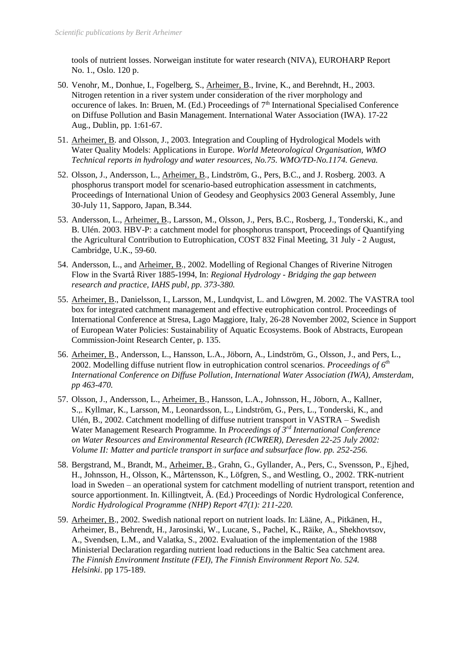tools of nutrient losses. Norweigan institute for water research (NIVA), EUROHARP Report No. 1., Oslo. 120 p.

- 50. Venohr, M., Donhue, I., Fogelberg, S., Arheimer, B., Irvine, K., and Berehndt, H., 2003. Nitrogen retention in a river system under consideration of the river morphology and occurence of lakes. In: Bruen, M. (Ed.) Proceedings of  $7<sup>th</sup>$  International Specialised Conference on Diffuse Pollution and Basin Management. International Water Association (IWA). 17-22 Aug., Dublin, pp. 1:61-67.
- 51. Arheimer, B. and Olsson, J., 2003. Integration and Coupling of Hydrological Models with Water Quality Models: Applications in Europe. *World Meteorological Organisation, WMO Technical reports in hydrology and water resources, No.75. WMO/TD-No.1174. Geneva.*
- 52. Olsson, J., Andersson, L., Arheimer, B., Lindström, G., Pers, B.C., and J. Rosberg. 2003. A phosphorus transport model for scenario-based eutrophication assessment in catchments, Proceedings of International Union of Geodesy and Geophysics 2003 General Assembly, June 30-July 11, Sapporo, Japan, B.344.
- 53. Andersson, L., Arheimer, B., Larsson, M., Olsson, J., Pers, B.C., Rosberg, J., Tonderski, K., and B. Ulén. 2003. HBV-P: a catchment model for phosphorus transport, Proceedings of Quantifying the Agricultural Contribution to Eutrophication, COST 832 Final Meeting, 31 July - 2 August, Cambridge, U.K., 59-60.
- 54. Andersson, L., and Arheimer, B., 2002. Modelling of Regional Changes of Riverine Nitrogen Flow in the Svartå River 1885-1994, In: *Regional Hydrology - Bridging the gap between research and practice, IAHS publ, pp. 373-380.*
- 55. Arheimer, B., Danielsson, I., Larsson, M., Lundqvist, L. and Löwgren, M. 2002. The VASTRA tool box for integrated catchment management and effective eutrophication control. Proceedings of International Conference at Stresa, Lago Maggiore, Italy, 26-28 November 2002, Science in Support of European Water Policies: Sustainability of Aquatic Ecosystems. Book of Abstracts, European Commission-Joint Research Center, p. 135.
- 56. Arheimer, B., Andersson, L., Hansson, L.A., Jöborn, A., Lindström, G., Olsson, J., and Pers, L., 2002. Modelling diffuse nutrient flow in eutrophication control scenarios. *Proceedings of 6th International Conference on Diffuse Pollution, International Water Association (IWA), Amsterdam, pp 463-470.*
- 57. Olsson, J., Andersson, L., Arheimer, B., Hansson, L.A., Johnsson, H., Jöborn, A., Kallner, S.,. Kyllmar, K., Larsson, M., Leonardsson, L., Lindström, G., Pers, L., Tonderski, K., and Ulén, B., 2002. Catchment modelling of diffuse nutrient transport in VASTRA – Swedish Water Management Research Programme. In *Proceedings of 3rd International Conference on Water Resources and Environmental Research (ICWRER), Deresden 22-25 July 2002: Volume II: Matter and particle transport in surface and subsurface flow. pp. 252-256.*
- 58. Bergstrand, M., Brandt, M., Arheimer, B., Grahn, G., Gyllander, A., Pers, C., Svensson, P., Ejhed, H., Johnsson, H., Olsson, K., Mårtensson, K., Löfgren, S., and Westling, O., 2002. TRK-nutrient load in Sweden – an operational system for catchment modelling of nutrient transport, retention and source apportionment. In. Killingtveit, Å. (Ed.) Proceedings of Nordic Hydrological Conference, *Nordic Hydrological Programme (NHP) Report 47(1): 211-220.*
- 59. Arheimer, B., 2002. Swedish national report on nutrient loads. In: Lääne, A., Pitkänen, H., Arheimer, B., Behrendt, H., Jarosinski, W., Lucane, S., Pachel, K., Räike, A., Shekhovtsov, A., Svendsen, L.M., and Valatka, S., 2002. Evaluation of the implementation of the 1988 Ministerial Declaration regarding nutrient load reductions in the Baltic Sea catchment area. *The Finnish Environment Institute (FEI), The Finnish Environment Report No. 524. Helsinki*. pp 175-189.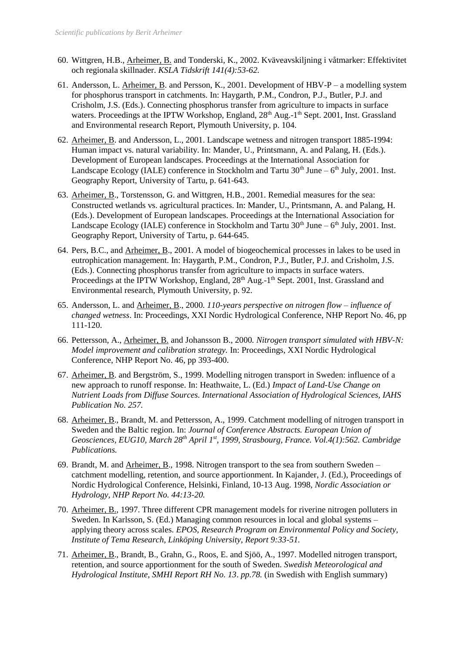- 60. Wittgren, H.B., Arheimer, B. and Tonderski, K., 2002. Kväveavskiljning i våtmarker: Effektivitet och regionala skillnader. *KSLA Tidskrift 141(4):53-62.*
- 61. Andersson, L. Arheimer, B. and Persson, K., 2001. Development of HBV-P a modelling system for phosphorus transport in catchments. In: Haygarth, P.M., Condron, P.J., Butler, P.J. and Crisholm, J.S. (Eds.). Connecting phosphorus transfer from agriculture to impacts in surface waters. Proceedings at the IPTW Workshop, England, 28<sup>th</sup> Aug.-1<sup>th</sup> Sept. 2001, Inst. Grassland and Environmental research Report, Plymouth University, p. 104.
- 62. Arheimer, B. and Andersson, L., 2001. Landscape wetness and nitrogen transport 1885-1994: Human impact vs. natural variability. In: Mander, U., Printsmann, A. and Palang, H. (Eds.). Development of European landscapes. Proceedings at the International Association for Landscape Ecology (IALE) conference in Stockholm and Tartu  $30<sup>th</sup>$  June –  $6<sup>th</sup>$  July, 2001. Inst. Geography Report, University of Tartu, p. 641-643.
- 63. Arheimer, B., Torstensson, G. and Wittgren, H.B., 2001. Remedial measures for the sea: Constructed wetlands vs. agricultural practices. In: Mander, U., Printsmann, A. and Palang, H. (Eds.). Development of European landscapes. Proceedings at the International Association for Landscape Ecology (IALE) conference in Stockholm and Tartu  $30<sup>th</sup>$  June –  $6<sup>th</sup>$  July, 2001. Inst. Geography Report, University of Tartu, p. 644-645.
- 64. Pers, B.C., and Arheimer, B., 2001. A model of biogeochemical processes in lakes to be used in eutrophication management. In: Haygarth, P.M., Condron, P.J., Butler, P.J. and Crisholm, J.S. (Eds.). Connecting phosphorus transfer from agriculture to impacts in surface waters. Proceedings at the IPTW Workshop, England, 28<sup>th</sup> Aug.-1<sup>th</sup> Sept. 2001, Inst. Grassland and Environmental research, Plymouth University, p. 92.
- 65. Andersson, L. and Arheimer, B., 2000*. 110-years perspective on nitrogen flow – influence of changed wetness*. In: Proceedings, XXI Nordic Hydrological Conference, NHP Report No. 46, pp 111-120.
- 66. Pettersson, A., Arheimer, B. and Johansson B., 2000*. Nitrogen transport simulated with HBV-N: Model improvement and calibration strategy.* In: Proceedings, XXI Nordic Hydrological Conference, NHP Report No. 46, pp 393-400.
- 67. Arheimer, B. and Bergström, S., 1999. Modelling nitrogen transport in Sweden: influence of a new approach to runoff response. In: Heathwaite, L. (Ed.) *Impact of Land-Use Change on Nutrient Loads from Diffuse Sources. International Association of Hydrological Sciences, IAHS Publication No. 257.*
- 68. Arheimer, B., Brandt, M. and Pettersson, A., 1999. Catchment modelling of nitrogen transport in Sweden and the Baltic region. In: *Journal of Conference Abstracts. European Union of Geosciences, EUG10, March 28th April 1st, 1999, Strasbourg, France. Vol.4(1):562. Cambridge Publications.*
- 69. Brandt, M. and Arheimer, B., 1998. Nitrogen transport to the sea from southern Sweden catchment modelling, retention, and source apportionment. In Kajander, J. (Ed.), Proceedings of Nordic Hydrological Conference, Helsinki, Finland, 10-13 Aug. 1998, *Nordic Association or Hydrology, NHP Report No. 44:13-20.*
- 70. Arheimer, B., 1997. Three different CPR management models for riverine nitrogen polluters in Sweden. In Karlsson, S. (Ed.) Managing common resources in local and global systems – applying theory across scales. *EPOS, Research Program on Environmental Policy and Society, Institute of Tema Research, Linköping University, Report 9:33-51.*
- 71. Arheimer, B., Brandt, B., Grahn, G., Roos, E. and Sjöö, A., 1997. Modelled nitrogen transport, retention, and source apportionment for the south of Sweden. *Swedish Meteorological and Hydrological Institute, SMHI Report RH No. 13*. *pp.78.* (in Swedish with English summary)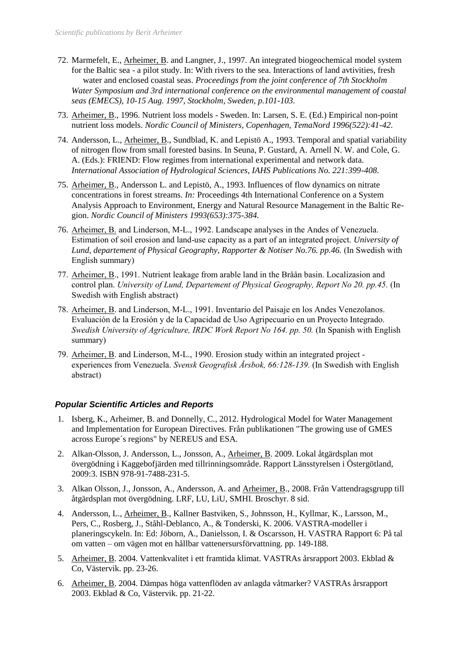- 72. Marmefelt, E., Arheimer, B. and Langner, J., 1997. An integrated biogeochemical model system for the Baltic sea - a pilot study. In: With rivers to the sea. Interactions of land avtivities, fresh water and enclosed coastal seas. *Proceedings from the joint conference of 7th Stockholm Water Symposium and 3rd international conference on the environmental management of coastal seas (EMECS), 10-15 Aug. 1997, Stockholm, Sweden, p.101-103.*
- 73. Arheimer, B., 1996. Nutrient loss models Sweden. In: Larsen, S. E. (Ed.) Empirical non-point nutrient loss models. *Nordic Council of Ministers, Copenhagen, TemaNord 1996(522):41-42.*
- 74. Andersson, L., Arheimer, B., Sundblad, K. and Lepistö A., 1993. Temporal and spatial variability of nitrogen flow from small forested basins. In Seuna, P. Gustard, A. Arnell N. W. and Cole, G. A. (Eds.): FRIEND: Flow regimes from international experimental and network data. *International Association of Hydrological Sciences, IAHS Publications No. 221:399-408*.
- 75. Arheimer, B., Andersson L. and Lepistö, A., 1993. Influences of flow dynamics on nitrate concentrations in forest streams. *In:* Proceedings 4th International Conference on a System Analysis Approach to Environment, Energy and Natural Resource Management in the Baltic Region. *Nordic Council of Ministers 1993(653):375-384.*
- 76. Arheimer, B. and Linderson, M-L., 1992. Landscape analyses in the Andes of Venezuela. Estimation of soil erosion and land-use capacity as a part of an integrated project. *University of Lund, departement of Physical Geography, Rapporter & Notiser No.76. pp.46.* (In Swedish with English summary)
- 77. Arheimer, B., 1991. Nutrient leakage from arable land in the Bråån basin. Localizasion and control plan. *University of Lund, Departement of Physical Geography, Report No 20. pp.45.* (In Swedish with English abstract)
- 78. Arheimer, B. and Linderson, M-L., 1991. Inventario del Paisaje en los Andes Venezolanos. Evaluación de la Erosión y de la Capacidad de Uso Agripecuario en un Proyecto Integrado. *Swedish University of Agriculture, IRDC Work Report No 164. pp. 50.* (In Spanish with English summary)
- 79. Arheimer, B. and Linderson, M-L., 1990. Erosion study within an integrated project experiences from Venezuela. *Svensk Geografisk Årsbok, 66:128-139.* (In Swedish with English abstract)

## *Popular Scientific Articles and Reports*

- 1. Isberg, K., Arheimer, B. and Donnelly, C., 2012. Hydrological Model for Water Management and Implementation for European Directives. Från publikationen "The growing use of GMES across Europe´s regions" by NEREUS and ESA.
- 2. Alkan-Olsson, J. Andersson, L., Jonsson, A., Arheimer, B. 2009. Lokal åtgärdsplan mot övergödning i Kaggebofjärden med tillrinningsområde. Rapport Länsstyrelsen i Östergötland, 2009:3. ISBN 978-91-7488-231-5.
- 3. Alkan Olsson, J., Jonsson, A., Andersson, A. and Arheimer, B., 2008. Från Vattendragsgrupp till åtgärdsplan mot övergödning. LRF, LU, LiU, SMHI. Broschyr. 8 sid.
- 4. Andersson, L., Arheimer, B., Kallner Bastviken, S., Johnsson, H., Kyllmar, K., Larsson, M., Pers, C., Rosberg, J., Ståhl-Deblanco, A., & Tonderski, K. 2006. VASTRA-modeller i planeringscykeln. In: Ed: Jöborn, A., Danielsson, I. & Oscarsson, H. VASTRA Rapport 6: På tal om vatten – om vägen mot en hållbar vattenersursförvattning. pp. 149-188.
- 5. Arheimer, B. 2004. Vattenkvalitet i ett framtida klimat. VASTRAs årsrapport 2003. Ekblad & Co, Västervik. pp. 23-26.
- 6. Arheimer, B. 2004. Dämpas höga vattenflöden av anlagda våtmarker? VASTRAs årsrapport 2003. Ekblad & Co, Västervik. pp. 21-22.